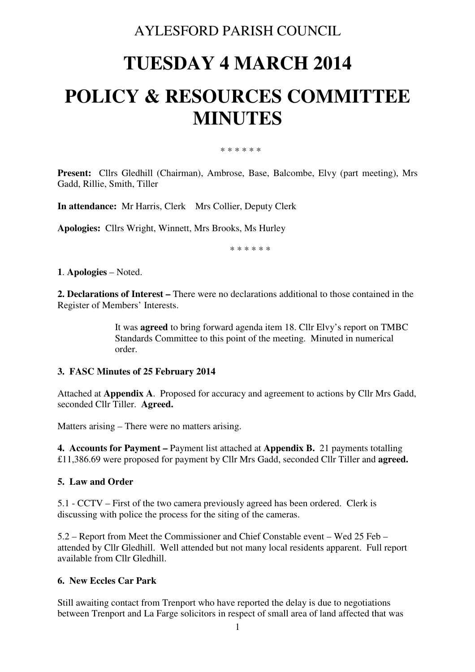# AYLESFORD PARISH COUNCIL

# **TUESDAY 4 MARCH 2014 POLICY & RESOURCES COMMITTEE MINUTES**

\* \* \* \* \* \*

**Present:** Cllrs Gledhill (Chairman), Ambrose, Base, Balcombe, Elvy (part meeting), Mrs Gadd, Rillie, Smith, Tiller

**In attendance:** Mr Harris, Clerk Mrs Collier, Deputy Clerk

**Apologies:** Cllrs Wright, Winnett, Mrs Brooks, Ms Hurley

\* \* \* \* \* \*

**1**. **Apologies** – Noted.

**2. Declarations of Interest –** There were no declarations additional to those contained in the Register of Members' Interests.

> It was **agreed** to bring forward agenda item 18. Cllr Elvy's report on TMBC Standards Committee to this point of the meeting. Minuted in numerical order.

#### **3. FASC Minutes of 25 February 2014**

Attached at **Appendix A**. Proposed for accuracy and agreement to actions by Cllr Mrs Gadd, seconded Cllr Tiller. **Agreed.** 

Matters arising – There were no matters arising.

**4. Accounts for Payment –** Payment list attached at **Appendix B.** 21 payments totalling £11,386.69 were proposed for payment by Cllr Mrs Gadd, seconded Cllr Tiller and **agreed.** 

#### **5. Law and Order**

5.1 - CCTV – First of the two camera previously agreed has been ordered. Clerk is discussing with police the process for the siting of the cameras.

5.2 – Report from Meet the Commissioner and Chief Constable event – Wed 25 Feb – attended by Cllr Gledhill. Well attended but not many local residents apparent. Full report available from Cllr Gledhill.

#### **6. New Eccles Car Park**

Still awaiting contact from Trenport who have reported the delay is due to negotiations between Trenport and La Farge solicitors in respect of small area of land affected that was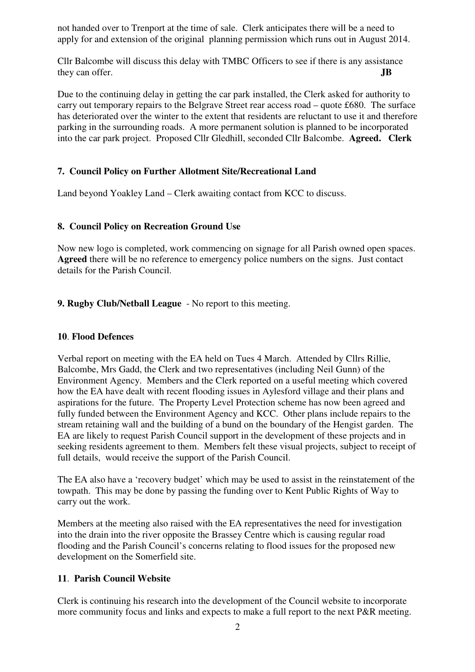not handed over to Trenport at the time of sale. Clerk anticipates there will be a need to apply for and extension of the original planning permission which runs out in August 2014.

Cllr Balcombe will discuss this delay with TMBC Officers to see if there is any assistance they can offer. **JB** 

Due to the continuing delay in getting the car park installed, the Clerk asked for authority to carry out temporary repairs to the Belgrave Street rear access road – quote £680. The surface has deteriorated over the winter to the extent that residents are reluctant to use it and therefore parking in the surrounding roads. A more permanent solution is planned to be incorporated into the car park project. Proposed Cllr Gledhill, seconded Cllr Balcombe. **Agreed. Clerk** 

# **7. Council Policy on Further Allotment Site/Recreational Land**

Land beyond Yoakley Land – Clerk awaiting contact from KCC to discuss.

# **8. Council Policy on Recreation Ground Use**

Now new logo is completed, work commencing on signage for all Parish owned open spaces. **Agreed** there will be no reference to emergency police numbers on the signs. Just contact details for the Parish Council.

# **9. Rugby Club/Netball League** - No report to this meeting.

# **10**. **Flood Defences**

Verbal report on meeting with the EA held on Tues 4 March. Attended by Cllrs Rillie, Balcombe, Mrs Gadd, the Clerk and two representatives (including Neil Gunn) of the Environment Agency. Members and the Clerk reported on a useful meeting which covered how the EA have dealt with recent flooding issues in Aylesford village and their plans and aspirations for the future. The Property Level Protection scheme has now been agreed and fully funded between the Environment Agency and KCC. Other plans include repairs to the stream retaining wall and the building of a bund on the boundary of the Hengist garden. The EA are likely to request Parish Council support in the development of these projects and in seeking residents agreement to them. Members felt these visual projects, subject to receipt of full details, would receive the support of the Parish Council.

The EA also have a 'recovery budget' which may be used to assist in the reinstatement of the towpath. This may be done by passing the funding over to Kent Public Rights of Way to carry out the work.

Members at the meeting also raised with the EA representatives the need for investigation into the drain into the river opposite the Brassey Centre which is causing regular road flooding and the Parish Council's concerns relating to flood issues for the proposed new development on the Somerfield site.

# **11**. **Parish Council Website**

Clerk is continuing his research into the development of the Council website to incorporate more community focus and links and expects to make a full report to the next P&R meeting.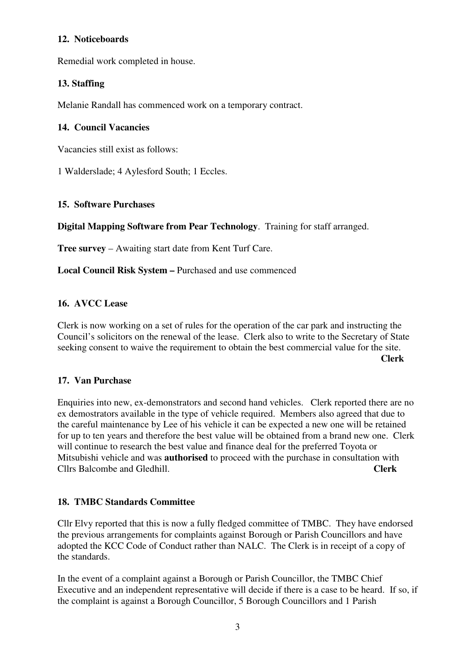# **12. Noticeboards**

Remedial work completed in house.

# **13. Staffing**

Melanie Randall has commenced work on a temporary contract.

#### **14. Council Vacancies**

Vacancies still exist as follows:

1 Walderslade; 4 Aylesford South; 1 Eccles.

#### **15. Software Purchases**

**Digital Mapping Software from Pear Technology**. Training for staff arranged.

**Tree survey** – Awaiting start date from Kent Turf Care.

**Local Council Risk System –** Purchased and use commenced

# **16. AVCC Lease**

Clerk is now working on a set of rules for the operation of the car park and instructing the Council's solicitors on the renewal of the lease. Clerk also to write to the Secretary of State seeking consent to waive the requirement to obtain the best commercial value for the site. **Clerk** 

#### **17. Van Purchase**

Enquiries into new, ex-demonstrators and second hand vehicles. Clerk reported there are no ex demostrators available in the type of vehicle required. Members also agreed that due to the careful maintenance by Lee of his vehicle it can be expected a new one will be retained for up to ten years and therefore the best value will be obtained from a brand new one. Clerk will continue to research the best value and finance deal for the preferred Toyota or Mitsubishi vehicle and was **authorised** to proceed with the purchase in consultation with Cllrs Balcombe and Gledhill. **Clerk**

#### **18. TMBC Standards Committee**

Cllr Elvy reported that this is now a fully fledged committee of TMBC. They have endorsed the previous arrangements for complaints against Borough or Parish Councillors and have adopted the KCC Code of Conduct rather than NALC. The Clerk is in receipt of a copy of the standards.

In the event of a complaint against a Borough or Parish Councillor, the TMBC Chief Executive and an independent representative will decide if there is a case to be heard. If so, if the complaint is against a Borough Councillor, 5 Borough Councillors and 1 Parish